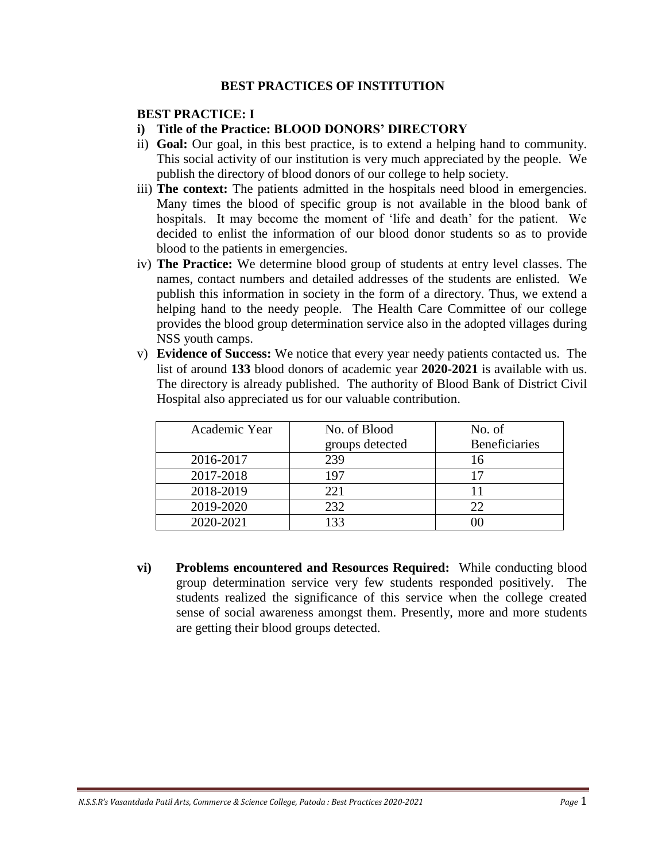### **BEST PRACTICES OF INSTITUTION**

### **BEST PRACTICE: I**

- **i) Title of the Practice: BLOOD DONORS' DIRECTORY**
- ii) **Goal:** Our goal, in this best practice, is to extend a helping hand to community. This social activity of our institution is very much appreciated by the people. We publish the directory of blood donors of our college to help society.
- iii) **The context:** The patients admitted in the hospitals need blood in emergencies. Many times the blood of specific group is not available in the blood bank of hospitals. It may become the moment of 'life and death' for the patient. We decided to enlist the information of our blood donor students so as to provide blood to the patients in emergencies.
- iv) **The Practice:** We determine blood group of students at entry level classes. The names, contact numbers and detailed addresses of the students are enlisted. We publish this information in society in the form of a directory. Thus, we extend a helping hand to the needy people. The Health Care Committee of our college provides the blood group determination service also in the adopted villages during NSS youth camps.
- v) **Evidence of Success:** We notice that every year needy patients contacted us. The list of around **133** blood donors of academic year **2020-2021** is available with us. The directory is already published. The authority of Blood Bank of District Civil Hospital also appreciated us for our valuable contribution.

| Academic Year | No. of Blood    | No. of               |
|---------------|-----------------|----------------------|
|               | groups detected | <b>Beneficiaries</b> |
| 2016-2017     | 239             | 16                   |
| 2017-2018     | 197             |                      |
| 2018-2019     | 221             |                      |
| 2019-2020     | 232             | 22                   |
| 2020-2021     | 133             |                      |

**vi) Problems encountered and Resources Required:** While conducting blood group determination service very few students responded positively. The students realized the significance of this service when the college created sense of social awareness amongst them. Presently, more and more students are getting their blood groups detected.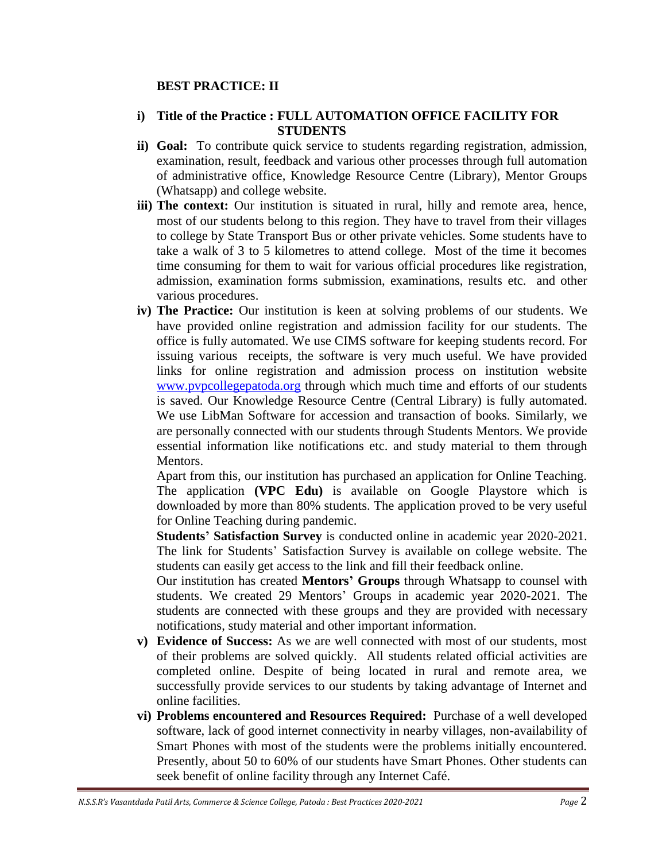## **BEST PRACTICE: II**

### **i) Title of the Practice : FULL AUTOMATION OFFICE FACILITY FOR STUDENTS**

- **ii) Goal:** To contribute quick service to students regarding registration, admission, examination, result, feedback and various other processes through full automation of administrative office, Knowledge Resource Centre (Library), Mentor Groups (Whatsapp) and college website.
- **iii) The context:** Our institution is situated in rural, hilly and remote area, hence, most of our students belong to this region. They have to travel from their villages to college by State Transport Bus or other private vehicles. Some students have to take a walk of 3 to 5 kilometres to attend college. Most of the time it becomes time consuming for them to wait for various official procedures like registration, admission, examination forms submission, examinations, results etc. and other various procedures.
- **iv) The Practice:** Our institution is keen at solving problems of our students. We have provided online registration and admission facility for our students. The office is fully automated. We use CIMS software for keeping students record. For issuing various receipts, the software is very much useful. We have provided links for online registration and admission process on institution website [www.pvpcollegepatoda.org](http://www.pvpcollegepatoda.org/) through which much time and efforts of our students is saved. Our Knowledge Resource Centre (Central Library) is fully automated. We use LibMan Software for accession and transaction of books. Similarly, we are personally connected with our students through Students Mentors. We provide essential information like notifications etc. and study material to them through Mentors.

Apart from this, our institution has purchased an application for Online Teaching. The application **(VPC Edu)** is available on Google Playstore which is downloaded by more than 80% students. The application proved to be very useful for Online Teaching during pandemic.

**Students' Satisfaction Survey** is conducted online in academic year 2020-2021. The link for Students' Satisfaction Survey is available on college website. The students can easily get access to the link and fill their feedback online.

Our institution has created **Mentors' Groups** through Whatsapp to counsel with students. We created 29 Mentors' Groups in academic year 2020-2021. The students are connected with these groups and they are provided with necessary notifications, study material and other important information.

- **v) Evidence of Success:** As we are well connected with most of our students, most of their problems are solved quickly. All students related official activities are completed online. Despite of being located in rural and remote area, we successfully provide services to our students by taking advantage of Internet and online facilities.
- **vi) Problems encountered and Resources Required:** Purchase of a well developed software, lack of good internet connectivity in nearby villages, non-availability of Smart Phones with most of the students were the problems initially encountered. Presently, about 50 to 60% of our students have Smart Phones. Other students can seek benefit of online facility through any Internet Café.